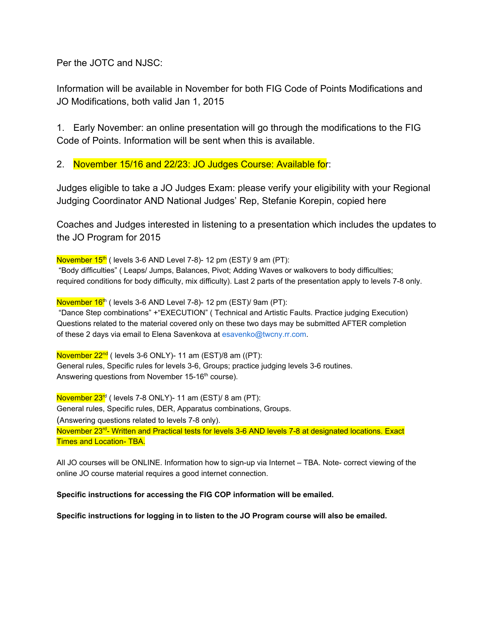Per the JOTC and NJSC:

Information will be available in November for both FIG Code of Points Modifications and JO Modifications, both valid Jan 1, 2015

1. Early November: an online presentation will go through the modifications to the FIG Code of Points. Information will be sent when this is available.

2. November 15/16 and 22/23: JO Judges Course: Available for:

Judges eligible to take a JO Judges Exam: please verify your eligibility with your Regional Judging Coordinator AND National Judges' Rep, Stefanie Korepin, copied here

Coaches and Judges interested in listening to a presentation which includes the updates to the JO Program for 2015

November 15<sup>th</sup> ( levels 3-6 AND Level 7-8)- 12 pm (EST)/ 9 am (PT): "Body difficulties" ( Leaps/ Jumps, Balances, Pivot; Adding Waves or walkovers to body difficulties; required conditions for body difficulty, mix difficulty). Last 2 parts of the presentation apply to levels 7-8 only.

November 16<sup>th</sup> ( levels 3-6 AND Level 7-8)- 12 pm (EST)/ 9am (PT):

"Dance Step combinations" +"EXECUTION" ( Technical and Artistic Faults. Practice judging Execution) Questions related to the material covered only on these two days may be submitted AFTER completion of these 2 days via email to Elena Savenkova at esavenko@twcny.rr.com.

November 22<sup>nd</sup> ( levels 3-6 ONLY)- 11 am (EST)/8 am ((PT): General rules, Specific rules for levels 3-6, Groups; practice judging levels 3-6 routines. Answering questions from November 15-16<sup>th</sup> course).

November 23<sup>rd</sup> (levels 7-8 ONLY)- 11 am (EST)/ 8 am (PT): General rules, Specific rules, DER, Apparatus combinations, Groups. (Answering questions related to levels 7-8 only). November 23<sup>rd</sup>- Written and Practical tests for levels 3-6 AND levels 7-8 at designated locations. Exact Times and Location- TBA.

All JO courses will be ONLINE. Information how to sign-up via Internet - TBA. Note- correct viewing of the online JO course material requires a good internet connection.

**Specific instructions for accessing the FIG COP information will be emailed.**

**Specific instructions for logging in to listen to the JO Program course will also be emailed.**